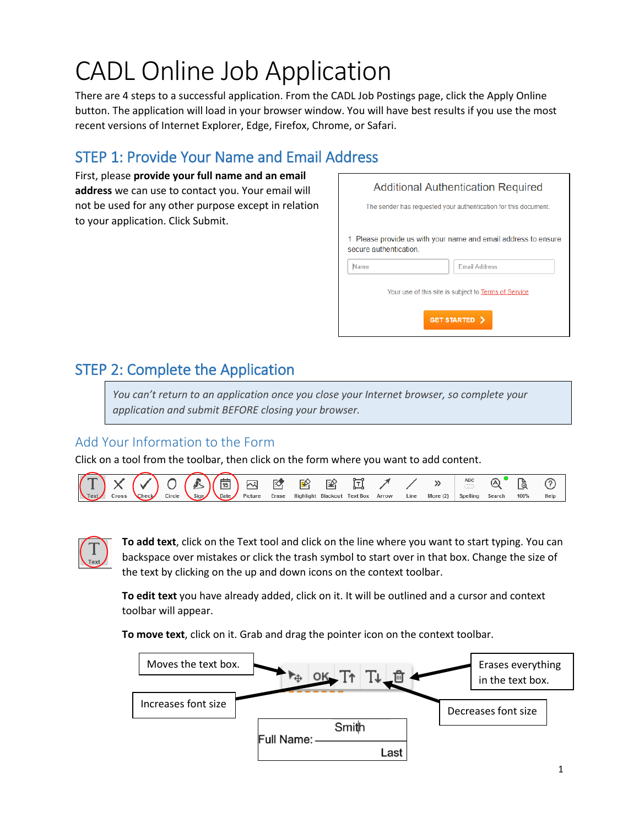# CADL Online Job Application

There are 4 steps to a successful application. From the CADL Job Postings page, click the Apply Online button. The application will load in your browser window. You will have best results if you use the most recent versions of Internet Explorer, Edge, Firefox, Chrome, or Safari.

## STEP 1: Provide Your Name and Email Address

First, please **provide your full name and an email address** we can use to contact you. Your email will not be used for any other purpose except in relation to your application. Click Submit.

| <b>Additional Authentication Required</b>                       |                                                                                         |  |
|-----------------------------------------------------------------|-----------------------------------------------------------------------------------------|--|
| The sender has requested your authentication for this document. |                                                                                         |  |
| secure authentication<br><b>Name</b>                            | 1. Please provide us with your name and email address to ensure<br><b>Email Address</b> |  |
| Your use of this site is subject to Terms of Service            |                                                                                         |  |
| <b>GET STARTED &gt;</b>                                         |                                                                                         |  |

## STEP 2: Complete the Application

*You can't return to an application once you close your Internet browser, so complete your application and submit BEFORE closing your browser.*

### Add Your Information to the Form

Click on a tool from the toolbar, then click on the form where you want to add content.





**To add text**, click on the Text tool and click on the line where you want to start typing. You can backspace over mistakes or click the trash symbol to start over in that box. Change the size of the text by clicking on the up and down icons on the context toolbar.

**To edit text** you have already added, click on it. It will be outlined and a cursor and context toolbar will appear.

**To move text**, click on it. Grab and drag the pointer icon on the context toolbar.

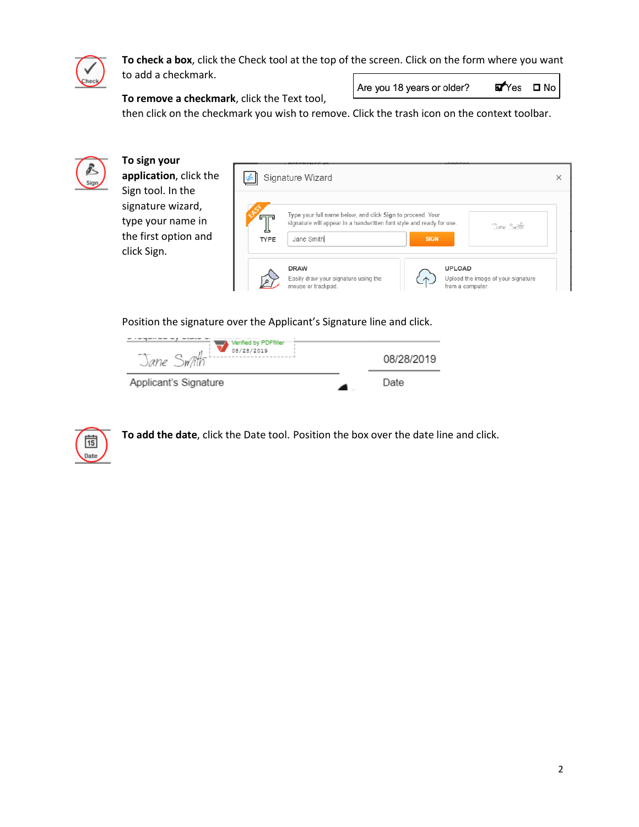

**To check a box**, click the Check tool at the top of the screen. Click on the form where you want to add a checkmark.

**To remove a checkmark**, click the Text tool,

Are you 18 years or older?

**E**Yes **□** No

then click on the checkmark you wish to remove. Click the trash icon on the context toolbar.



Position the signature over the Applicant's Signature line and click.





**To add the date**, click the Date tool. Position the box over the date line and click.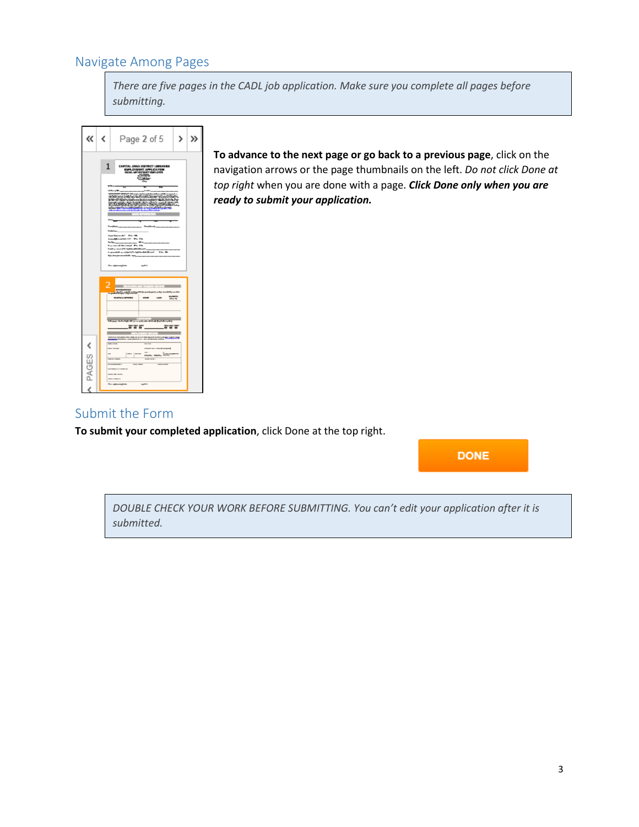#### Navigate Among Pages

*There are five pages in the CADL job application. Make sure you complete all pages before submitting.*



**To advance to the next page or go back to a previous page**, click on the navigation arrows or the page thumbnails on the left. *Do not click Done at top right* when you are done with a page. *Click Done only when you are ready to submit your application.*

#### Submit the Form

**To submit your completed application**, click Done at the top right.

**DONE** 

*DOUBLE CHECK YOUR WORK BEFORE SUBMITTING. You can't edit your application after it is submitted.*